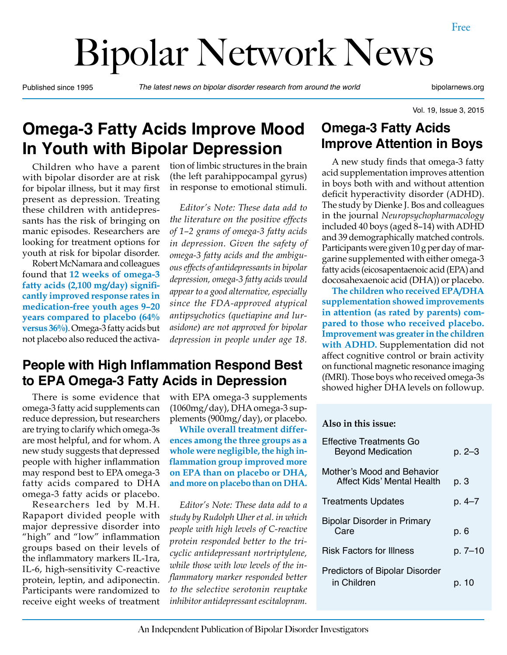# Bipolar Network News

Published since 1995 *The latest news on bipolar disorder research from around the world* bipolarnews.org

Vol. 19, Issue 3, 2015

# **Omega-3 Fatty Acids Improve Mood In Youth with Bipolar Depression**

Children who have a parent with bipolar disorder are at risk for bipolar illness, but it may first present as depression. Treating these children with antidepressants has the risk of bringing on manic episodes. Researchers are looking for treatment options for youth at risk for bipolar disorder.

Robert McNamara and colleagues found that **12 weeks of omega-3 fatty acids (2,100 mg/day) significantly improved response rates in medication-free youth ages 9–20 years compared to placebo (64% versus 36%)**. Omega-3 fatty acids but not placebo also reduced the activation of limbic structures in the brain (the left parahippocampal gyrus) in response to emotional stimuli.

*Editor's Note: These data add to the literature on the positive effects of 1–2 grams of omega-3 fatty acids in depression. Given the safety of omega-3 fatty acids and the ambiguous effects of antidepressants in bipolar depression, omega-3 fatty acids would appear to a good alternative, especially since the FDA-approved atypical antipsychotics (quetiapine and lurasidone) are not approved for bipolar depression in people under age 18.*

#### **People with High Inflammation Respond Best to EPA Omega-3 Fatty Acids in Depression**

There is some evidence that omega-3 fatty acid supplements can reduce depression, but researchers are trying to clarify which omega-3s are most helpful, and for whom. A new study suggests that depressed people with higher inflammation may respond best to EPA omega-3 fatty acids compared to DHA omega-3 fatty acids or placebo.

Researchers led by M.H. Rapaport divided people with major depressive disorder into "high" and "low" inflammation groups based on their levels of the inflammatory markers IL-1ra, IL-6, high-sensitivity C-reactive protein, leptin, and adiponectin. Participants were randomized to receive eight weeks of treatment

with EPA omega-3 supplements (1060mg/day), DHA omega-3 supplements (900mg/day), or placebo.

**While overall treatment differences among the three groups as a whole were negligible, the high inflammation group improved more on EPA than on placebo or DHA, and more on placebo than on DHA.** 

*Editor's Note: These data add to a study by Rudolph Uher et al. in which people with high levels of C-reactive protein responded better to the tricyclic antidepressant nortriptylene, while those with low levels of the inflammatory marker responded better to the selective serotonin reuptake inhibitor antidepressant escitalopram.*

#### **Omega-3 Fatty Acids Improve Attention in Boys**

A new study finds that omega-3 fatty acid supplementation improves attention in boys both with and without attention deficit hyperactivity disorder (ADHD). The study by Dienke J. Bos and colleagues in the journal *Neuropsychopharmacology* included 40 boys (aged 8–14) with ADHD and 39 demographically matched controls. Participants were given 10 g per day of margarine supplemented with either omega-3 fatty acids (eicosapentaenoic acid (EPA) and docosahexaenoic acid (DHA)) or placebo.

**The children who received EPA/DHA supplementation showed improvements in attention (as rated by parents) compared to those who received placebo. Improvement was greater in the children with ADHD.** Supplementation did not affect cognitive control or brain activity on functional magnetic resonance imaging (fMRI). Those boys who received omega-3s showed higher DHA levels on followup.

#### **Also in this issue:**

| <b>Effective Treatments Go</b><br><b>Beyond Medication</b> | p. 2–3  |
|------------------------------------------------------------|---------|
| Mother's Mood and Behavior<br>Affect Kids' Mental Health   | p. 3    |
| <b>Treatments Updates</b>                                  | p. 4-7  |
| <b>Bipolar Disorder in Primary</b><br>Care                 | p. 6    |
| <b>Risk Factors for Illness</b>                            | p. 7–10 |
| <b>Predictors of Bipolar Disorder</b><br>in Children       | p. 10   |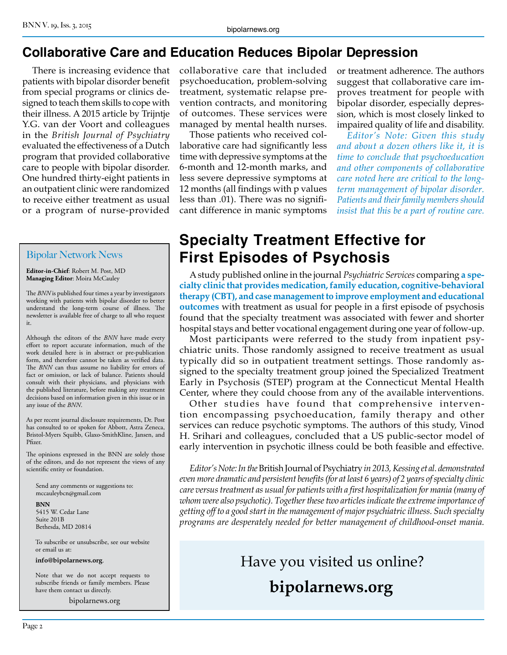## **Collaborative Care and Education Reduces Bipolar Depression**

There is increasing evidence that patients with bipolar disorder benefit from special programs or clinics designed to teach them skills to cope with their illness. A 2015 article by Trijntje Y.G. van der Voort and colleagues in the *British Journal of Psychiatry*  evaluated the effectiveness of a Dutch program that provided collaborative care to people with bipolar disorder. One hundred thirty-eight patients in an outpatient clinic were randomized to receive either treatment as usual or a program of nurse-provided

#### Bipolar Network News

**Editor-in-Chief**: Robert M. Post, MD **Managing Editor**: Moira McCauley

The *BNN* is published four times a year by investigators working with patients with bipolar disorder to better understand the long-term course of illness. The newsletter is available free of charge to all who request it.

Although the editors of the *BNN* have made every effort to report accurate information, much of the work detailed here is in abstract or pre-publication form, and therefore cannot be taken as verified data. The *BNN* can thus assume no liability for errors of fact or omission, or lack of balance. Patients should consult with their physicians, and physicians with the published literature, before making any treatment decisions based on information given in this issue or in any issue of the *BNN*.

As per recent journal disclosure requirements, Dr. Post has consulted to or spoken for Abbott, Astra Zeneca, Bristol-Myers Squibb, Glaxo-SmithKline, Jansen, and Pfizer.

The opinions expressed in the BNN are solely those of the editors, and do not represent the views of any scientific entity or foundation.

Send any comments or suggestions to: mccauleybcn@gmail.com

**BNN** 5415 W. Cedar Lane Suite 201B Bethesda, MD 20814

To subscribe or unsubscribe, see our website or email us at:

**info@bipolarnews.org**.

Note that we do not accept requests to subscribe friends or family members. Please have them contact us directly.

bipolarnews.org

collaborative care that included psychoeducation, problem-solving treatment, systematic relapse prevention contracts, and monitoring of outcomes. These services were managed by mental health nurses.

Those patients who received collaborative care had significantly less time with depressive symptoms at the 6-month and 12-month marks, and less severe depressive symptoms at 12 months (all findings with p values less than .01). There was no significant difference in manic symptoms

or treatment adherence. The authors suggest that collaborative care improves treatment for people with bipolar disorder, especially depression, which is most closely linked to impaired quality of life and disability.

*Editor's Note: Given this study and about a dozen others like it, it is time to conclude that psychoeducation and other components of collaborative care noted here are critical to the longterm management of bipolar disorder. Patients and their family members should insist that this be a part of routine care.*

# **Specialty Treatment Effective for First Episodes of Psychosis**

A study published online in the journal *Psychiatric Services* comparing **a specialty clinic that provides medication, family education, cognitive-behavioral therapy (CBT), and case management to improve employment and educational outcomes** with treatment as usual for people in a first episode of psychosis found that the specialty treatment was associated with fewer and shorter hospital stays and better vocational engagement during one year of follow-up.

Most participants were referred to the study from inpatient psychiatric units. Those randomly assigned to receive treatment as usual typically did so in outpatient treatment settings. Those randomly assigned to the specialty treatment group joined the Specialized Treatment Early in Psychosis (STEP) program at the Connecticut Mental Health Center, where they could choose from any of the available interventions.

Other studies have found that comprehensive intervention encompassing psychoeducation, family therapy and other services can reduce psychotic symptoms. The authors of this study, Vinod H. Srihari and colleagues, concluded that a US public-sector model of early intervention in psychotic illness could be both feasible and effective.

*Editor's Note: In the* British Journal of Psychiatry *in 2013, Kessing et al. demonstrated even more dramatic and persistent benefits (for at least 6 years) of 2 years of specialty clinic care versus treatment as usual for patients with a first hospitalization for mania (many of whom were also psychotic). Together these two articles indicate the extreme importance of getting off to a good start in the management of major psychiatric illness. Such specialty programs are desperately needed for better management of childhood-onset mania.*

> Have you visited us online? **bipolarnews.org**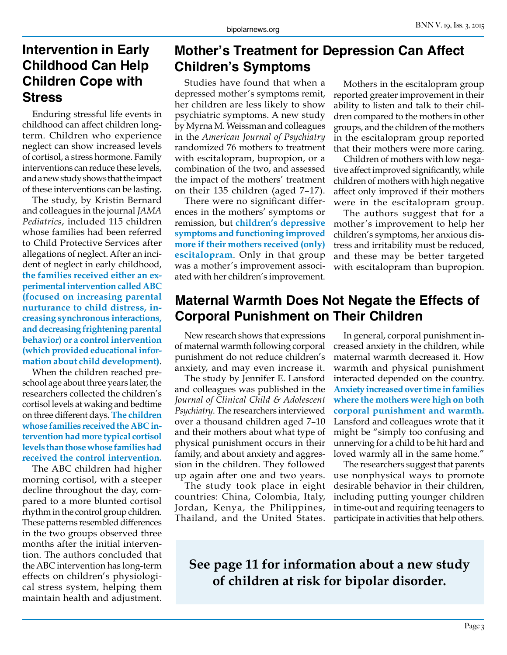#### **Intervention in Early Childhood Can Help Children Cope with Stress**

Enduring stressful life events in childhood can affect children longterm. Children who experience neglect can show increased levels of cortisol, a stress hormone. Family interventions can reduce these levels, and a new study shows that the impact of these interventions can be lasting.

The study, by Kristin Bernard and colleagues in the journal *JAMA Pediatrics*, included 115 children whose families had been referred to Child Protective Services after allegations of neglect. After an incident of neglect in early childhood, **the families received either an experimental intervention called ABC (focused on increasing parental nurturance to child distress, increasing synchronous interactions, and decreasing frightening parental behavior) or a control intervention (which provided educational information about child development)**.

When the children reached preschool age about three years later, the researchers collected the children's cortisol levels at waking and bedtime on three different days. **The children whose families received the ABC intervention had more typical cortisol levels than those whose families had received the control intervention.**

The ABC children had higher morning cortisol, with a steeper decline throughout the day, compared to a more blunted cortisol rhythm in the control group children. These patterns resembled differences in the two groups observed three months after the initial intervention. The authors concluded that the ABC intervention has long-term effects on children's physiological stress system, helping them maintain health and adjustment.

## **Mother's Treatment for Depression Can Affect Children's Symptoms**

Studies have found that when a depressed mother's symptoms remit, her children are less likely to show psychiatric symptoms. A new study by Myrna M. Weissman and colleagues in the *American Journal of Psychiatry*  randomized 76 mothers to treatment with escitalopram, bupropion, or a combination of the two, and assessed the impact of the mothers' treatment on their 135 children (aged 7–17).

There were no significant differences in the mothers' symptoms or remission, but **children's depressive symptoms and functioning improved more if their mothers received (only) escitalopram**. Only in that group was a mother's improvement associated with her children's improvement.

Mothers in the escitalopram group reported greater improvement in their ability to listen and talk to their children compared to the mothers in other groups, and the children of the mothers in the escitalopram group reported that their mothers were more caring.

Children of mothers with low negative affect improved significantly, while children of mothers with high negative affect only improved if their mothers were in the escitalopram group.

The authors suggest that for a mother's improvement to help her children's symptoms, her anxious distress and irritability must be reduced, and these may be better targeted with escitalopram than bupropion.

#### **Maternal Warmth Does Not Negate the Effects of Corporal Punishment on Their Children**

New research shows that expressions of maternal warmth following corporal punishment do not reduce children's anxiety, and may even increase it.

The study by Jennifer E. Lansford and colleagues was published in the *Journal of Clinical Child & Adolescent Psychiatry*. The researchers interviewed over a thousand children aged 7–10 and their mothers about what type of physical punishment occurs in their family, and about anxiety and aggression in the children. They followed up again after one and two years.

The study took place in eight countries: China, Colombia, Italy, Jordan, Kenya, the Philippines, Thailand, and the United States.

In general, corporal punishment increased anxiety in the children, while maternal warmth decreased it. How warmth and physical punishment interacted depended on the country. **Anxiety increased over time in families where the mothers were high on both corporal punishment and warmth.**  Lansford and colleagues wrote that it might be "simply too confusing and unnerving for a child to be hit hard and loved warmly all in the same home."

The researchers suggest that parents use nonphysical ways to promote desirable behavior in their children, including putting younger children in time-out and requiring teenagers to participate in activities that help others.

**See page 11 for information about a new study of children at risk for bipolar disorder.**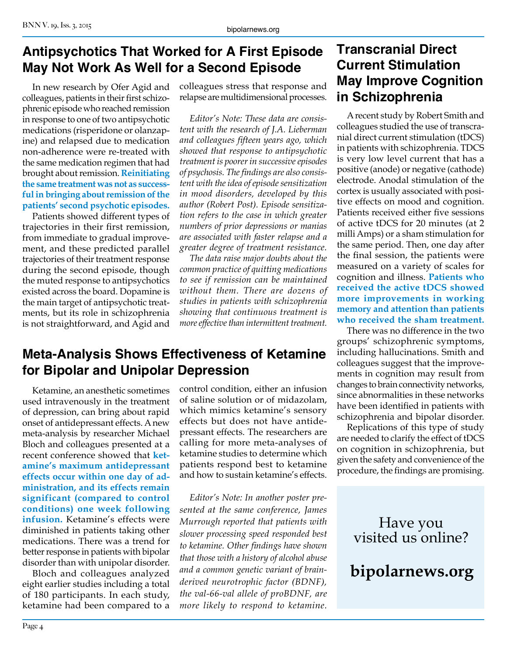#### **Antipsychotics That Worked for A First Episode May Not Work As Well for a Second Episode**

In new research by Ofer Agid and colleagues, patients in their first schizophrenic episode who reached remission in response to one of two antipsychotic medications (risperidone or olanzapine) and relapsed due to medication non-adherence were re-treated with the same medication regimen that had brought about remission. **Reinitiating the same treatment was not as successful in bringing about remission of the patients' second psychotic episodes.**

Patients showed different types of trajectories in their first remission, from immediate to gradual improvement, and these predicted parallel trajectories of their treatment response during the second episode, though the muted response to antipsychotics existed across the board. Dopamine is the main target of antipsychotic treatments, but its role in schizophrenia is not straightforward, and Agid and colleagues stress that response and relapse are multidimensional processes.

*Editor's Note: These data are consistent with the research of J.A. Lieberman and colleagues fifteen years ago, which showed that response to antipsychotic treatment is poorer in successive episodes of psychosis. The findings are also consistent with the idea of episode sensitization in mood disorders, developed by this author (Robert Post). Episode sensitization refers to the case in which greater numbers of prior depressions or manias are associated with faster relapse and a greater degree of treatment resistance.*

*The data raise major doubts about the common practice of quitting medications to see if remission can be maintained without them. There are dozens of studies in patients with schizophrenia showing that continuous treatment is more effective than intermittent treatment.*

#### **Meta-Analysis Shows Effectiveness of Ketamine for Bipolar and Unipolar Depression**

Ketamine, an anesthetic sometimes used intravenously in the treatment of depression, can bring about rapid onset of antidepressant effects. A new meta-analysis by researcher Michael Bloch and colleagues presented at a recent conference showed that **ketamine's maximum antidepressant effects occur within one day of administration, and its effects remain significant (compared to control conditions) one week following infusion.** Ketamine's effects were diminished in patients taking other medications. There was a trend for better response in patients with bipolar disorder than with unipolar disorder.

Bloch and colleagues analyzed eight earlier studies including a total of 180 participants. In each study, ketamine had been compared to a control condition, either an infusion of saline solution or of midazolam, which mimics ketamine's sensory effects but does not have antidepressant effects. The researchers are calling for more meta-analyses of ketamine studies to determine which patients respond best to ketamine and how to sustain ketamine's effects.

*Editor's Note: In another poster presented at the same conference, James Murrough reported that patients with slower processing speed responded best to ketamine. Other findings have shown that those with a history of alcohol abuse and a common genetic variant of brainderived neurotrophic factor (BDNF), the val-66-val allele of proBDNF, are more likely to respond to ketamine.*

### **Transcranial Direct Current Stimulation May Improve Cognition in Schizophrenia**

A recent study by Robert Smith and colleagues studied the use of transcranial direct current stimulation (tDCS) in patients with schizophrenia. TDCS is very low level current that has a positive (anode) or negative (cathode) electrode. Anodal stimulation of the cortex is usually associated with positive effects on mood and cognition. Patients received either five sessions of active tDCS for 20 minutes (at 2 milli Amps) or a sham stimulation for the same period. Then, one day after the final session, the patients were measured on a variety of scales for cognition and illness. **Patients who received the active tDCS showed more improvements in working memory and attention than patients who received the sham treatment.**

There was no difference in the two groups' schizophrenic symptoms, including hallucinations. Smith and colleagues suggest that the improvements in cognition may result from changes to brain connectivity networks, since abnormalities in these networks have been identified in patients with schizophrenia and bipolar disorder.

Replications of this type of study are needed to clarify the effect of tDCS on cognition in schizophrenia, but given the safety and convenience of the procedure, the findings are promising.

> Have you visited us online?

**bipolarnews.org**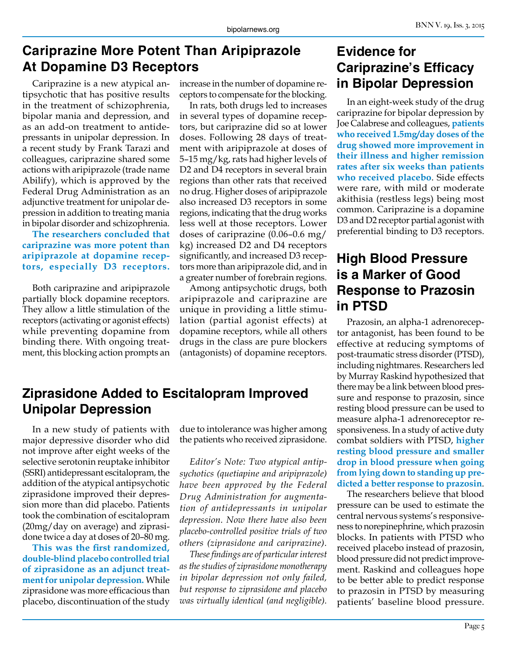## **Cariprazine More Potent Than Aripiprazole At Dopamine D3 Receptors**

Cariprazine is a new atypical antipsychotic that has positive results in the treatment of schizophrenia, bipolar mania and depression, and as an add-on treatment to antidepressants in unipolar depression. In a recent study by Frank Tarazi and colleagues, cariprazine shared some actions with aripiprazole (trade name Abilify), which is approved by the Federal Drug Administration as an adjunctive treatment for unipolar depression in addition to treating mania in bipolar disorder and schizophrenia.

**The researchers concluded that cariprazine was more potent than aripiprazole at dopamine receptors, especially D3 receptors.**

Both cariprazine and aripiprazole partially block dopamine receptors. They allow a little stimulation of the receptors (activating or agonist effects) while preventing dopamine from binding there. With ongoing treatment, this blocking action prompts an increase in the number of dopamine receptors to compensate for the blocking.

In rats, both drugs led to increases in several types of dopamine receptors, but cariprazine did so at lower doses. Following 28 days of treatment with aripiprazole at doses of 5–15 mg/kg, rats had higher levels of D2 and D4 receptors in several brain regions than other rats that received no drug. Higher doses of aripiprazole also increased D3 receptors in some regions, indicating that the drug works less well at those receptors. Lower doses of cariprazine (0.06–0.6 mg/ kg) increased D2 and D4 receptors significantly, and increased D3 receptors more than aripiprazole did, and in a greater number of forebrain regions.

Among antipsychotic drugs, both aripiprazole and cariprazine are unique in providing a little stimulation (partial agonist effects) at dopamine receptors, while all others drugs in the class are pure blockers (antagonists) of dopamine receptors.

#### **Ziprasidone Added to Escitalopram Improved Unipolar Depression**

In a new study of patients with major depressive disorder who did not improve after eight weeks of the selective serotonin reuptake inhibitor (SSRI) antidepressant escitalopram, the addition of the atypical antipsychotic ziprasidone improved their depression more than did placebo. Patients took the combination of escitalopram (20mg/day on average) and ziprasidone twice a day at doses of 20–80 mg.

**This was the first randomized, double-blind placebo controlled trial of ziprasidone as an adjunct treatment for unipolar depression.** While ziprasidone was more efficacious than placebo, discontinuation of the study

due to intolerance was higher among the patients who received ziprasidone.

*Editor's Note: Two atypical antipsychotics (quetiapine and aripiprazole) have been approved by the Federal Drug Administration for augmentation of antidepressants in unipolar depression. Now there have also been placebo-controlled positive trials of two others (ziprasidone and cariprazine).*

*These findings are of particular interest as the studies of ziprasidone monotherapy in bipolar depression not only failed, but response to ziprasidone and placebo was virtually identical (and negligible).*

#### **Evidence for Cariprazine's Efficacy in Bipolar Depression**

In an eight-week study of the drug cariprazine for bipolar depression by Joe Calabrese and colleagues, **patients who received 1.5mg/day doses of the drug showed more improvement in their illness and higher remission rates after six weeks than patients who received placebo**. Side effects were rare, with mild or moderate akithisia (restless legs) being most common. Cariprazine is a dopamine D3 and D2 receptor partial agonist with preferential binding to D3 receptors.

#### **High Blood Pressure is a Marker of Good Response to Prazosin in PTSD**

Prazosin, an alpha-1 adrenoreceptor antagonist, has been found to be effective at reducing symptoms of post-traumatic stress disorder (PTSD), including nightmares. Researchers led by Murray Raskind hypothesized that there may be a link between blood pressure and response to prazosin, since resting blood pressure can be used to measure alpha-1 adrenoreceptor responsiveness. In a study of active duty combat soldiers with PTSD, **higher resting blood pressure and smaller drop in blood pressure when going from lying down to standing up predicted a better response to prazosin**.

The researchers believe that blood pressure can be used to estimate the central nervous systems's responsiveness to norepinephrine, which prazosin blocks. In patients with PTSD who received placebo instead of prazosin, blood pressure did not predict improvement. Raskind and colleagues hope to be better able to predict response to prazosin in PTSD by measuring patients' baseline blood pressure.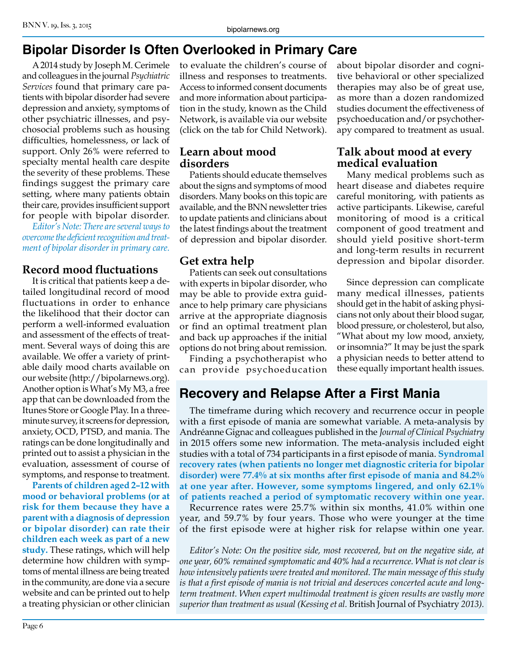# **Bipolar Disorder Is Often Overlooked in Primary Care**

A 2014 study by Joseph M. Cerimele and colleagues in the journal *Psychiatric Services* found that primary care patients with bipolar disorder had severe depression and anxiety, symptoms of other psychiatric illnesses, and psychosocial problems such as housing difficulties, homelessness, or lack of support. Only 26% were referred to specialty mental health care despite the severity of these problems. These findings suggest the primary care setting, where many patients obtain their care, provides insufficient support for people with bipolar disorder.

*Editor's Note: There are several ways to overcome the deficient recognition and treatment of bipolar disorder in primary care.*

#### **Record mood fluctuations**

It is critical that patients keep a detailed longitudinal record of mood fluctuations in order to enhance the likelihood that their doctor can perform a well-informed evaluation and assessment of the effects of treatment. Several ways of doing this are available. We offer a variety of printable daily mood charts available on our website (http://bipolarnews.org). Another option is What's My M3, a free app that can be downloaded from the Itunes Store or Google Play. In a threeminute survey, it screens for depression, anxiety, OCD, PTSD, and mania. The ratings can be done longitudinally and printed out to assist a physician in the evaluation, assessment of course of symptoms, and response to treatment.

**Parents of children aged 2–12 with mood or behavioral problems (or at risk for them because they have a parent with a diagnosis of depression or bipolar disorder) can rate their children each week as part of a new study.** These ratings, which will help determine how children with symptoms of mental illness are being treated in the community, are done via a secure website and can be printed out to help a treating physician or other clinician

to evaluate the children's course of illness and responses to treatments. Access to informed consent documents and more information about participation in the study, known as the Child Network, is available via our website (click on the tab for Child Network).

#### **Learn about mood disorders**

Patients should educate themselves about the signs and symptoms of mood disorders. Many books on this topic are available, and the BNN newsletter tries to update patients and clinicians about the latest findings about the treatment of depression and bipolar disorder.

#### **Get extra help**

Patients can seek out consultations with experts in bipolar disorder, who may be able to provide extra guidance to help primary care physicians arrive at the appropriate diagnosis or find an optimal treatment plan and back up approaches if the initial options do not bring about remission.

Finding a psychotherapist who can provide psychoeducation about bipolar disorder and cognitive behavioral or other specialized therapies may also be of great use, as more than a dozen randomized studies document the effectiveness of psychoeducation and/or psychotherapy compared to treatment as usual.

#### **Talk about mood at every medical evaluation**

Many medical problems such as heart disease and diabetes require careful monitoring, with patients as active participants. Likewise, careful monitoring of mood is a critical component of good treatment and should yield positive short-term and long-term results in recurrent depression and bipolar disorder.

Since depression can complicate many medical illnesses, patients should get in the habit of asking physicians not only about their blood sugar, blood pressure, or cholesterol, but also, "What about my low mood, anxiety, or insomnia?" It may be just the spark a physician needs to better attend to these equally important health issues.

# **Recovery and Relapse After a First Mania**

The timeframe during which recovery and recurrence occur in people with a first episode of mania are somewhat variable. A meta-analysis by Andréanne Gignac and colleagues published in the *Journal of Clinical Psychiatry* in 2015 offers some new information. The meta-analysis included eight studies with a total of 734 participants in a first episode of mania. **Syndromal recovery rates (when patients no longer met diagnostic criteria for bipolar disorder) were 77.4% at six months after first episode of mania and 84.2% at one year after. However, some symptoms lingered, and only 62.1% of patients reached a period of symptomatic recovery within one year.**

Recurrence rates were 25.7% within six months, 41.0% within one year, and 59.7% by four years. Those who were younger at the time of the first episode were at higher risk for relapse within one year.

*Editor's Note: On the positive side, most recovered, but on the negative side, at one year, 60% remained symptomatic and 40% had a recurrence. What is not clear is how intensively patients were treated and monitored. The main message of this study is that a first episode of mania is not trivial and deservces concerted acute and longterm treatment. When expert multimodal treatment is given results are vastly more superior than treatment as usual (Kessing et al.* British Journal of Psychiatry *2013).*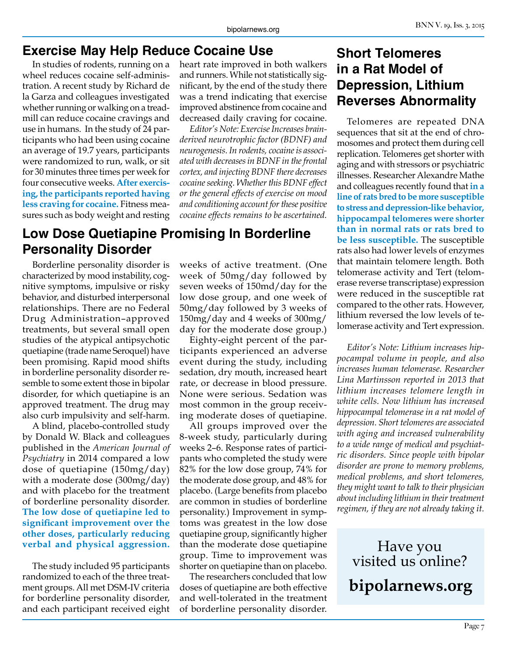#### **Exercise May Help Reduce Cocaine Use**

In studies of rodents, running on a wheel reduces cocaine self-administration. A recent study by Richard de la Garza and colleagues investigated whether running or walking on a treadmill can reduce cocaine cravings and use in humans. In the study of 24 participants who had been using cocaine an average of 19.7 years, participants were randomized to run, walk, or sit for 30 minutes three times per week for four consecutive weeks. **After exercising, the participants reported having less craving for cocaine.** Fitness measures such as body weight and resting

**Low Dose Quetiapine Promising In Borderline Personality Disorder**

Borderline personality disorder is characterized by mood instability, cognitive symptoms, impulsive or risky behavior, and disturbed interpersonal relationships. There are no Federal Drug Administration–approved treatments, but several small open studies of the atypical antipsychotic quetiapine (trade name Seroquel) have been promising. Rapid mood shifts in borderline personality disorder resemble to some extent those in bipolar disorder, for which quetiapine is an approved treatment. The drug may also curb impulsivity and self-harm.

A blind, placebo-controlled study by Donald W. Black and colleagues published in the *American Journal of Psychiatry* in 2014 compared a low dose of quetiapine (150mg/day) with a moderate dose (300mg/day) and with placebo for the treatment of borderline personality disorder. **The low dose of quetiapine led to significant improvement over the other doses, particularly reducing verbal and physical aggression.**

The study included 95 participants randomized to each of the three treatment groups. All met DSM-IV criteria for borderline personality disorder, and each participant received eight

heart rate improved in both walkers and runners. While not statistically significant, by the end of the study there was a trend indicating that exercise improved abstinence from cocaine and decreased daily craving for cocaine.

*Editor's Note: Exercise Increases brainderived neurotrophic factor (BDNF) and neurogenesis. In rodents, cocaine is associated with decreases in BDNF in the frontal cortex, and injecting BDNF there decreases cocaine seeking. Whether this BDNF effect or the general effects of exercise on mood and conditioning account for these positive cocaine effects remains to be ascertained.*

weeks of active treatment. (One week of 50mg/day followed by seven weeks of 150md/day for the low dose group, and one week of 50mg/day followed by 3 weeks of 150mg/day and 4 weeks of 300mg/ day for the moderate dose group.)

Eighty-eight percent of the participants experienced an adverse event during the study, including sedation, dry mouth, increased heart rate, or decrease in blood pressure. None were serious. Sedation was most common in the group receiving moderate doses of quetiapine.

All groups improved over the 8-week study, particularly during weeks 2–6. Response rates of participants who completed the study were 82% for the low dose group, 74% for the moderate dose group, and 48% for placebo. (Large benefits from placebo are common in studies of borderline personality.) Improvement in symptoms was greatest in the low dose quetiapine group, significantly higher than the moderate dose quetiapine group. Time to improvement was shorter on quetiapine than on placebo.

The researchers concluded that low doses of quetiapine are both effective and well-tolerated in the treatment of borderline personality disorder.

### **Short Telomeres in a Rat Model of Depression, Lithium Reverses Abnormality**

Telomeres are repeated DNA sequences that sit at the end of chromosomes and protect them during cell replication. Telomeres get shorter with aging and with stressors or psychiatric illnesses. Researcher Alexandre Mathe and colleagues recently found that **in a line of rats bred to be more susceptible to stress and depression-like behavior, hippocampal telomeres were shorter than in normal rats or rats bred to be less susceptible.** The susceptible rats also had lower levels of enzymes that maintain telomere length. Both telomerase activity and Tert (telomerase reverse transcriptase) expression were reduced in the susceptible rat compared to the other rats. However, lithium reversed the low levels of telomerase activity and Tert expression.

*Editor's Note: Lithium increases hippocampal volume in people, and also increases human telomerase. Researcher Lina Martinsson reported in 2013 that lithium increases telomere length in white cells. Now lithium has increased hippocampal telomerase in a rat model of depression. Short telomeres are associated with aging and increased vulnerability to a wide range of medical and psychiatric disorders. Since people with bipolar disorder are prone to memory problems, medical problems, and short telomeres, they might want to talk to their physician about including lithium in their treatment regimen, if they are not already taking it.*

Have you visited us online? **bipolarnews.org**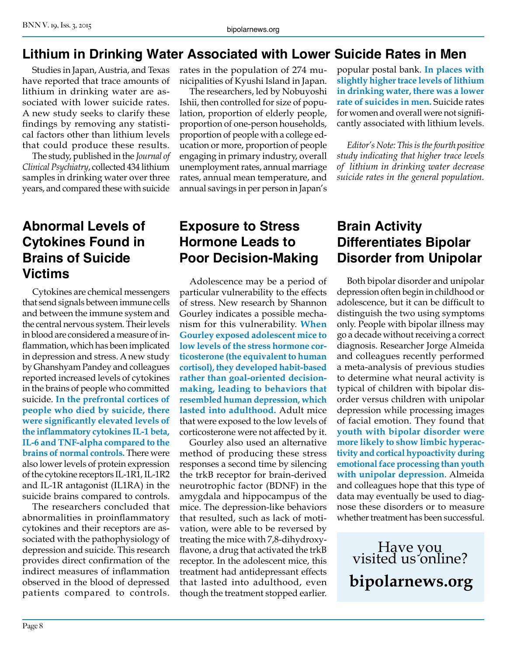## **Lithium in Drinking Water Associated with Lower Suicide Rates in Men**

Studies in Japan, Austria, and Texas have reported that trace amounts of lithium in drinking water are associated with lower suicide rates. A new study seeks to clarify these findings by removing any statistical factors other than lithium levels that could produce these results.

The study, published in the *Journal of Clinical Psychiatry*, collected 434 lithium samples in drinking water over three years, and compared these with suicide

#### **Abnormal Levels of Cytokines Found in Brains of Suicide Victims**

Cytokines are chemical messengers that send signals between immune cells and between the immune system and the central nervous system. Their levels in blood are considered a measure of inflammation, which has been implicated in depression and stress. A new study by Ghanshyam Pandey and colleagues reported increased levels of cytokines in the brains of people who committed suicide. **In the prefrontal cortices of people who died by suicide, there were significantly elevated levels of the inflammatory cytokines IL-1 beta, IL-6 and TNF-alpha compared to the brains of normal controls.** There were also lower levels of protein expression of the cytokine receptors IL-1R1, IL-1R2 and IL-1R antagonist (IL1RA) in the suicide brains compared to controls.

The researchers concluded that abnormalities in proinflammatory cytokines and their receptors are associated with the pathophysiology of depression and suicide. This research provides direct confirmation of the indirect measures of inflammation observed in the blood of depressed patients compared to controls.

rates in the population of 274 municipalities of Kyushi Island in Japan.

The researchers, led by Nobuyoshi Ishii, then controlled for size of population, proportion of elderly people, proportion of one-person households, proportion of people with a college education or more, proportion of people engaging in primary industry, overall unemployment rates, annual marriage rates, annual mean temperature, and annual savings in per person in Japan's popular postal bank. **In places with slightly higher trace levels of lithium in drinking water, there was a lower rate of suicides in men.** Suicide rates for women and overall were not significantly associated with lithium levels.

*Editor's Note: This is the fourth positive study indicating that higher trace levels of lithium in drinking water decrease suicide rates in the general population.* 

#### **Exposure to Stress Hormone Leads to Poor Decision-Making**

Adolescence may be a period of particular vulnerability to the effects of stress. New research by Shannon Gourley indicates a possible mechanism for this vulnerability. **When Gourley exposed adolescent mice to low levels of the stress hormone corticosterone (the equivalent to human cortisol), they developed habit-based rather than goal-oriented decisionmaking, leading to behaviors that resembled human depression, which lasted into adulthood.** Adult mice that were exposed to the low levels of corticosterone were not affected by it.

Gourley also used an alternative method of producing these stress responses a second time by silencing the trkB receptor for brain-derived neurotrophic factor (BDNF) in the amygdala and hippocampus of the mice. The depression-like behaviors that resulted, such as lack of motivation, were able to be reversed by treating the mice with 7,8-dihydroxyflavone, a drug that activated the trkB receptor. In the adolescent mice, this treatment had antidepressant effects that lasted into adulthood, even though the treatment stopped earlier.

## **Brain Activity Differentiates Bipolar Disorder from Unipolar**

Both bipolar disorder and unipolar depression often begin in childhood or adolescence, but it can be difficult to distinguish the two using symptoms only. People with bipolar illness may go a decade without receiving a correct diagnosis. Researcher Jorge Almeida and colleagues recently performed a meta-analysis of previous studies to determine what neural activity is typical of children with bipolar disorder versus children with unipolar depression while processing images of facial emotion. They found that **youth with bipolar disorder were more likely to show limbic hyperactivity and cortical hypoactivity during emotional face processing than youth with unipolar depression**. Almeida and colleagues hope that this type of data may eventually be used to diagnose these disorders or to measure whether treatment has been successful.

Have you visited us online? **bipolarnews.org**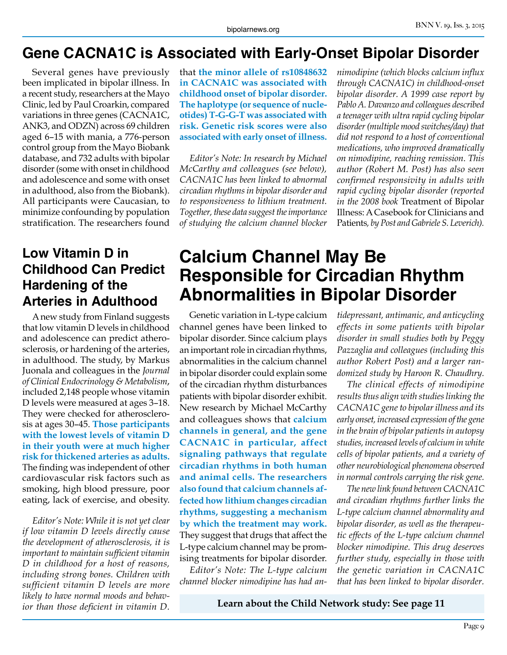## **Gene CACNA1C is Associated with Early-Onset Bipolar Disorder**

Several genes have previously been implicated in bipolar illness. In a recent study, researchers at the Mayo Clinic, led by Paul Croarkin, compared variations in three genes (CACNA1C, ANK3, and ODZN) across 69 children aged 6–15 with mania, a 776-person control group from the Mayo Biobank database, and 732 adults with bipolar disorder (some with onset in childhood and adolescence and some with onset in adulthood, also from the Biobank). All participants were Caucasian, to minimize confounding by population stratification. The researchers found

#### **Low Vitamin D in Childhood Can Predict Hardening of the Arteries in Adulthood**

A new study from Finland suggests that low vitamin D levels in childhood and adolescence can predict atherosclerosis, or hardening of the arteries, in adulthood. The study, by Markus Juonala and colleagues in the *Journal of Clinical Endocrinology & Metabolism*, included 2,148 people whose vitamin D levels were measured at ages 3–18. They were checked for atherosclerosis at ages 30–45. **Those participants with the lowest levels of vitamin D in their youth were at much higher risk for thickened arteries as adults.**  The finding was independent of other cardiovascular risk factors such as smoking, high blood pressure, poor eating, lack of exercise, and obesity.

*Editor's Note: While it is not yet clear if low vitamin D levels directly cause the development of atherosclerosis, it is important to maintain sufficient vitamin D in childhood for a host of reasons, including strong bones. Children with sufficient vitamin D levels are more likely to have normal moods and behavior than those deficient in vitamin D.*

that **the minor allele of rs10848632 in CACNA1C was associated with childhood onset of bipolar disorder. The haplotype (or sequence of nucleotides) T-G-G-T was associated with risk. Genetic risk scores were also associated with early onset of illness.**

*Editor's Note: In research by Michael McCarthy and colleagues (see below), CACNA1C has been linked to abnormal circadian rhythms in bipolar disorder and to responsiveness to lithium treatment. Together, these data suggest the importance of studying the calcium channel blocker* 

*nimodipine (which blocks calcium influx through CACNA1C) in childhood-onset bipolar disorder. A 1999 case report by Pablo A. Davanzo and colleagues described a teenager with ultra rapid cycling bipolar disorder (multiple mood switches/day) that did not respond to a host of conventional medications, who improved dramatically on nimodipine, reaching remission. This author (Robert M. Post) has also seen confirmed responsivity in adults with rapid cycling bipolar disorder (reported in the 2008 book* Treatment of Bipolar Illness: A Casebook for Clinicians and Patients*, by Post and Gabriele S. Leverich).*

# **Calcium Channel May Be Responsible for Circadian Rhythm Abnormalities in Bipolar Disorder**

Genetic variation in L-type calcium channel genes have been linked to bipolar disorder. Since calcium plays an important role in circadian rhythms, abnormalities in the calcium channel in bipolar disorder could explain some of the circadian rhythm disturbances patients with bipolar disorder exhibit. New research by Michael McCarthy and colleagues shows that **calcium channels in general, and the gene CACNA1C in particular, affect signaling pathways that regulate circadian rhythms in both human and animal cells. The researchers also found that calcium channels affected how lithium changes circadian rhythms, suggesting a mechanism by which the treatment may work.** They suggest that drugs that affect the L-type calcium channel may be promising treatments for bipolar disorder.

*Editor's Note: The L-type calcium channel blocker nimodipine has had an-* *tidepressant, antimanic, and anticycling effects in some patients with bipolar disorder in small studies both by Peggy Pazzaglia and colleagues (including this author Robert Post) and a larger randomized study by Haroon R. Chaudhry.*

*The clinical effects of nimodipine results thus align with studies linking the CACNA1C gene to bipolar illness and its early onset, increased expression of the gene in the brain of bipolar patients in autopsy studies, increased levels of calcium in white cells of bipolar patients, and a variety of other neurobiological phenomena observed in normal controls carrying the risk gene.*

*The new link found between CACNA1C and circadian rhythms further links the L-type calcium channel abnormality and bipolar disorder, as well as the therapeutic effects of the L-type calcium channel blocker nimodipine. This drug deserves further study, especially in those with the genetic variation in CACNA1C that has been linked to bipolar disorder.*

**Learn about the Child Network study: See page 11**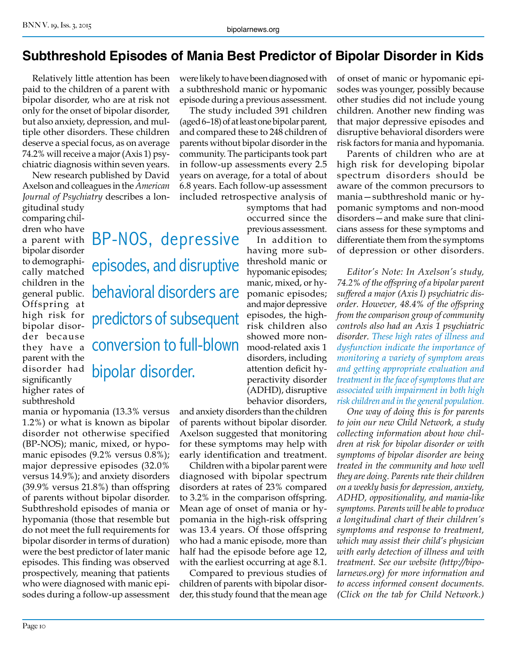#### **Subthreshold Episodes of Mania Best Predictor of Bipolar Disorder in Kids**

Relatively little attention has been paid to the children of a parent with bipolar disorder, who are at risk not only for the onset of bipolar disorder, but also anxiety, depression, and multiple other disorders. These children deserve a special focus, as on average 74.2% will receive a major (Axis 1) psychiatric diagnosis within seven years.

New research published by David Axelson and colleagues in the *American Journal of Psychiatry* describes a lon-

gitudinal study comparing children who have bipolar disorder to demographically matched children in the general public. Offspring at high risk for bipolar disorder because they have a parent with the disorder had significantly higher rates of subthreshold

a parent with BP-NOS, depressive episodes, and disruptive behavioral disorders are predictors of subsequent conversion to full-blown

bipolar disorder.

mania or hypomania (13.3% versus 1.2%) or what is known as bipolar disorder not otherwise specified (BP-NOS); manic, mixed, or hypomanic episodes (9.2% versus 0.8%); major depressive episodes (32.0% versus 14.9%); and anxiety disorders (39.9% versus 21.8%) than offspring of parents without bipolar disorder. Subthreshold episodes of mania or hypomania (those that resemble but do not meet the full requirements for bipolar disorder in terms of duration) were the best predictor of later manic episodes. This finding was observed prospectively, meaning that patients who were diagnosed with manic episodes during a follow-up assessment

were likely to have been diagnosed with a subthreshold manic or hypomanic episode during a previous assessment.

The study included 391 children (aged 6–18) of at least one bipolar parent, and compared these to 248 children of parents without bipolar disorder in the community. The participants took part in follow-up assessments every 2.5 years on average, for a total of about 6.8 years. Each follow-up assessment included retrospective analysis of

> symptoms that had occurred since the previous assessment.

In addition to having more subthreshold manic or hypomanic episodes; manic, mixed, or hypomanic episodes; and major depressive episodes, the highrisk children also showed more nonmood-related axis 1 disorders, including attention deficit hyperactivity disorder (ADHD), disruptive behavior disorders,

and anxiety disorders than the children of parents without bipolar disorder. Axelson suggested that monitoring for these symptoms may help with early identification and treatment.

Children with a bipolar parent were diagnosed with bipolar spectrum disorders at rates of 23% compared to 3.2% in the comparison offspring. Mean age of onset of mania or hypomania in the high-risk offspring was 13.4 years. Of those offspring who had a manic episode, more than half had the episode before age 12, with the earliest occurring at age 8.1.

Compared to previous studies of children of parents with bipolar disorder, this study found that the mean age

of onset of manic or hypomanic episodes was younger, possibly because other studies did not include young children. Another new finding was that major depressive episodes and disruptive behavioral disorders were risk factors for mania and hypomania.

Parents of children who are at high risk for developing bipolar spectrum disorders should be aware of the common precursors to mania—subthreshold manic or hypomanic symptoms and non-mood disorders—and make sure that clinicians assess for these symptoms and differentiate them from the symptoms of depression or other disorders.

*Editor's Note: In Axelson's study, 74.2% of the offspring of a bipolar parent suffered a major (Axis I) psychiatric disorder. However, 48.4% of the offspring from the comparison group of community controls also had an Axis 1 psychiatric disorder. These high rates of illness and dysfunction indicate the importance of monitoring a variety of symptom areas and getting appropriate evaluation and treatment in the face of symptoms that are associated with impairment in both high risk children and in the general population.*

*One way of doing this is for parents to join our new Child Network, a study collecting information about how children at risk for bipolar disorder or with symptoms of bipolar disorder are being treated in the community and how well they are doing. Parents rate their children on a weekly basis for depression, anxiety, ADHD, oppositionality, and mania-like symptoms. Parents will be able to produce a longitudinal chart of their children's symptoms and response to treatment, which may assist their child's physician with early detection of illness and with treatment. See our website (http://bipolarnews.org) for more information and to access informed consent documents. (Click on the tab for Child Network.)*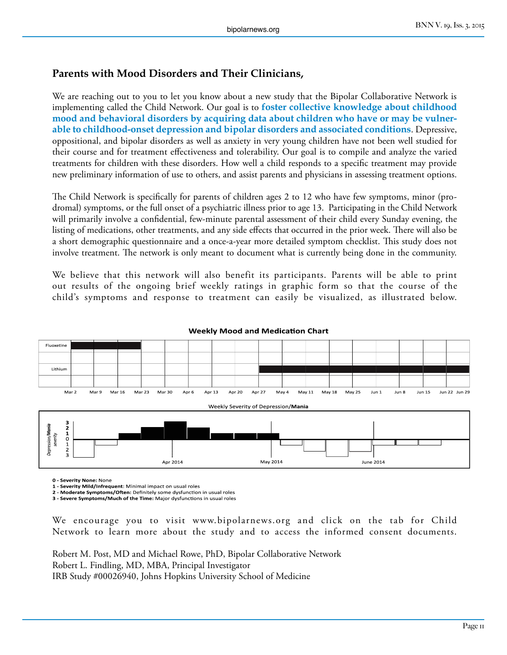#### **Parents with Mood Disorders and Their Clinicians,**

We are reaching out to you to let you know about a new study that the Bipolar Collaborative Network is implementing called the Child Network. Our goal is to **foster collective knowledge about childhood mood and behavioral disorders by acquiring data about children who have or may be vulnerable to childhood-onset depression and bipolar disorders and associated conditions**. Depressive, oppositional, and bipolar disorders as well as anxiety in very young children have not been well studied for their course and for treatment effectiveness and tolerability. Our goal is to compile and analyze the varied treatments for children with these disorders. How well a child responds to a specific treatment may provide new preliminary information of use to others, and assist parents and physicians in assessing treatment options.

The Child Network is specifically for parents of children ages 2 to 12 who have few symptoms, minor (prodromal) symptoms, or the full onset of a psychiatric illness prior to age 13. Participating in the Child Network will primarily involve a confidential, few-minute parental assessment of their child every Sunday evening, the listing of medications, other treatments, and any side effects that occurred in the prior week. There will also be a short demographic questionnaire and a once-a-year more detailed symptom checklist. This study does not involve treatment. The network is only meant to document what is currently being done in the community.

We believe that this network will also benefit its participants. Parents will be able to print out results of the ongoing brief weekly ratings in graphic form so that the course of the child's symptoms and response to treatment can easily be visualized, as illustrated below.



**Weekly Mood and Medication Chart**

**0 - Severity None:** None

**1 - Severity Mild/Infrequent**: Minimal impact on usual roles

**2 - Moderate Symptoms/Often:** Definitely some dysfunction in usual roles

**3 - Severe Symptoms/Much of the Time:** Major dysfunctions in usual roles

We encourage you to visit www.bipolarnews.org and click on the tab for Child Network to learn more about the study and to access the informed consent documents.

Robert M. Post, MD and Michael Rowe, PhD, Bipolar Collaborative Network Robert L. Findling, MD, MBA, Principal Investigator IRB Study #00026940, Johns Hopkins University School of Medicine